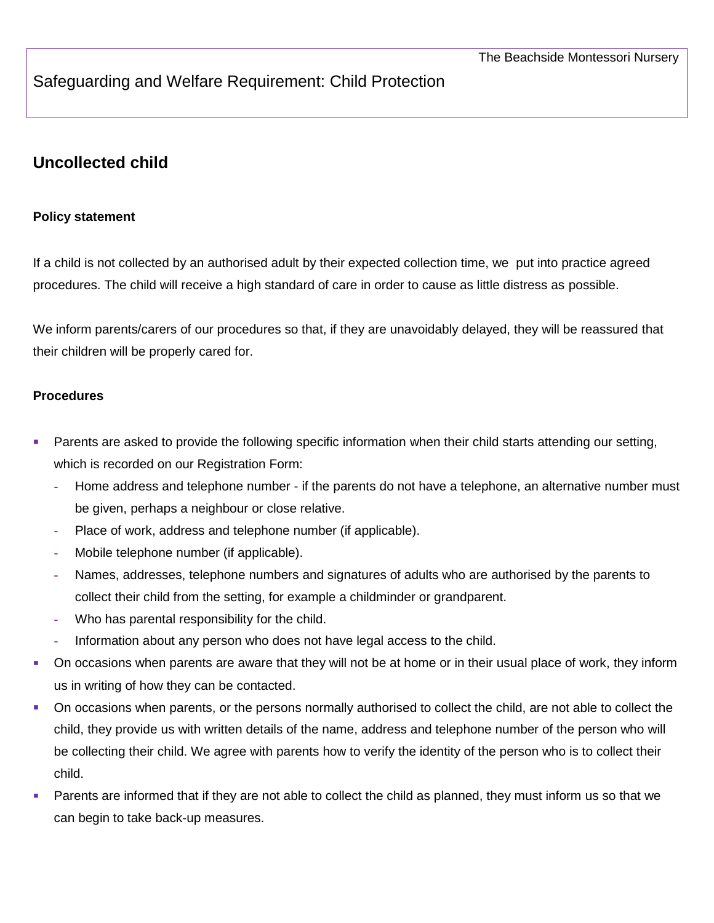## Safeguarding and Welfare Requirement: Child Protection

# **Uncollected child**

### **Policy statement**

If a child is not collected by an authorised adult by their expected collection time, we put into practice agreed procedures. The child will receive a high standard of care in order to cause as little distress as possible.

We inform parents/carers of our procedures so that, if they are unavoidably delayed, they will be reassured that their children will be properly cared for.

#### **Procedures**

- **Parents are asked to provide the following specific information when their child starts attending our setting,** which is recorded on our Registration Form:
	- **-** Home address and telephone number if the parents do not have a telephone, an alternative number must be given, perhaps a neighbour or close relative.
	- **-** Place of work, address and telephone number (if applicable).
	- **-** Mobile telephone number (if applicable).
	- **-** Names, addresses, telephone numbers and signatures of adults who are authorised by the parents to collect their child from the setting, for example a childminder or grandparent.
	- **-** Who has parental responsibility for the child.
	- **-** Information about any person who does not have legal access to the child.
- On occasions when parents are aware that they will not be at home or in their usual place of work, they inform us in writing of how they can be contacted.
- On occasions when parents, or the persons normally authorised to collect the child, are not able to collect the child, they provide us with written details of the name, address and telephone number of the person who will be collecting their child. We agree with parents how to verify the identity of the person who is to collect their child.
- **Parents are informed that if they are not able to collect the child as planned, they must inform us so that we** can begin to take back-up measures.